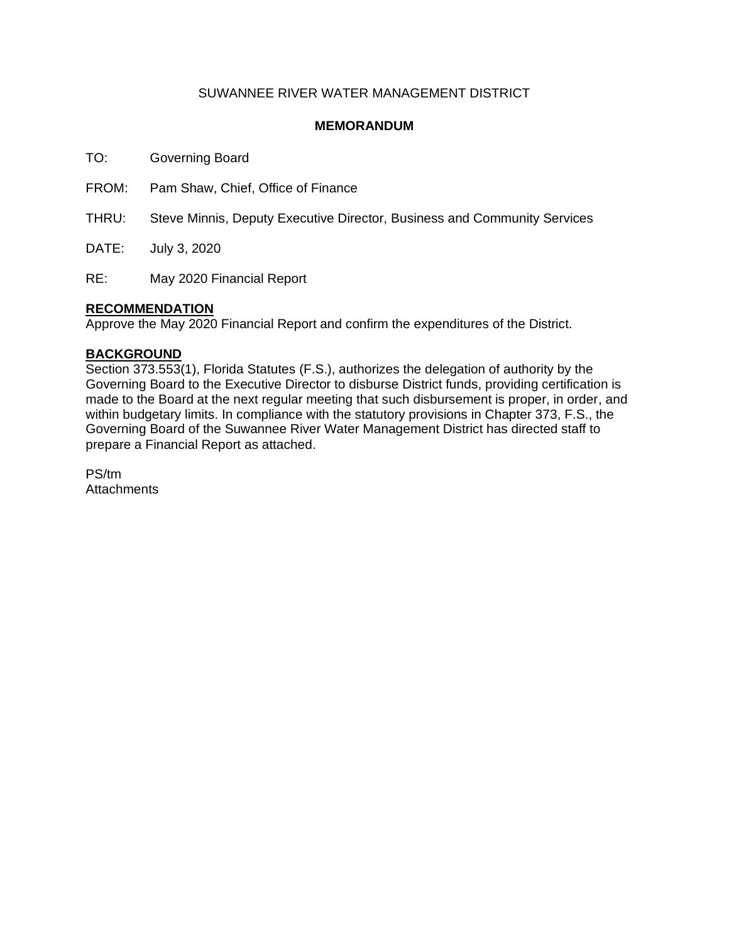### SUWANNEE RIVER WATER MANAGEMENT DISTRICT

### **MEMORANDUM**

TO: Governing Board

FROM: Pam Shaw, Chief, Office of Finance

THRU: Steve Minnis, Deputy Executive Director, Business and Community Services

DATE: July 3, 2020

RE: May 2020 Financial Report

### **RECOMMENDATION**

Approve the May 2020 Financial Report and confirm the expenditures of the District.

### **BACKGROUND**

Section 373.553(1), Florida Statutes (F.S.), authorizes the delegation of authority by the Governing Board to the Executive Director to disburse District funds, providing certification is made to the Board at the next regular meeting that such disbursement is proper, in order, and within budgetary limits. In compliance with the statutory provisions in Chapter 373, F.S., the Governing Board of the Suwannee River Water Management District has directed staff to prepare a Financial Report as attached.

PS/tm **Attachments**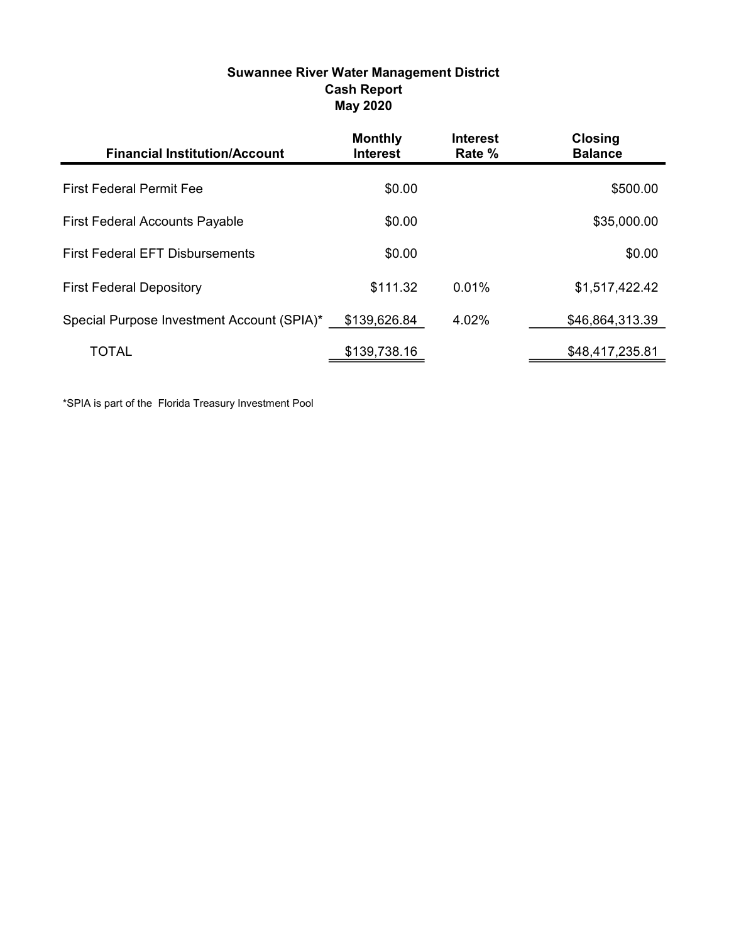| <b>Suwannee River Water Management District</b> |
|-------------------------------------------------|
| <b>Cash Report</b>                              |
| <b>May 2020</b>                                 |

| <b>Financial Institution/Account</b>       | <b>Monthly</b><br><b>Interest</b> | <b>Interest</b><br>Rate % | <b>Closing</b><br><b>Balance</b> |
|--------------------------------------------|-----------------------------------|---------------------------|----------------------------------|
| <b>First Federal Permit Fee</b>            | \$0.00                            |                           | \$500.00                         |
| <b>First Federal Accounts Payable</b>      | \$0.00                            |                           | \$35,000.00                      |
| <b>First Federal EFT Disbursements</b>     | \$0.00                            |                           | \$0.00                           |
| <b>First Federal Depository</b>            | \$111.32                          | 0.01%                     | \$1,517,422.42                   |
| Special Purpose Investment Account (SPIA)* | \$139,626.84                      | 4.02%                     | \$46,864,313.39                  |
| TOTAL                                      | \$139,738.16                      |                           | \$48,417,235.81                  |

\*SPIA is part of the Florida Treasury Investment Pool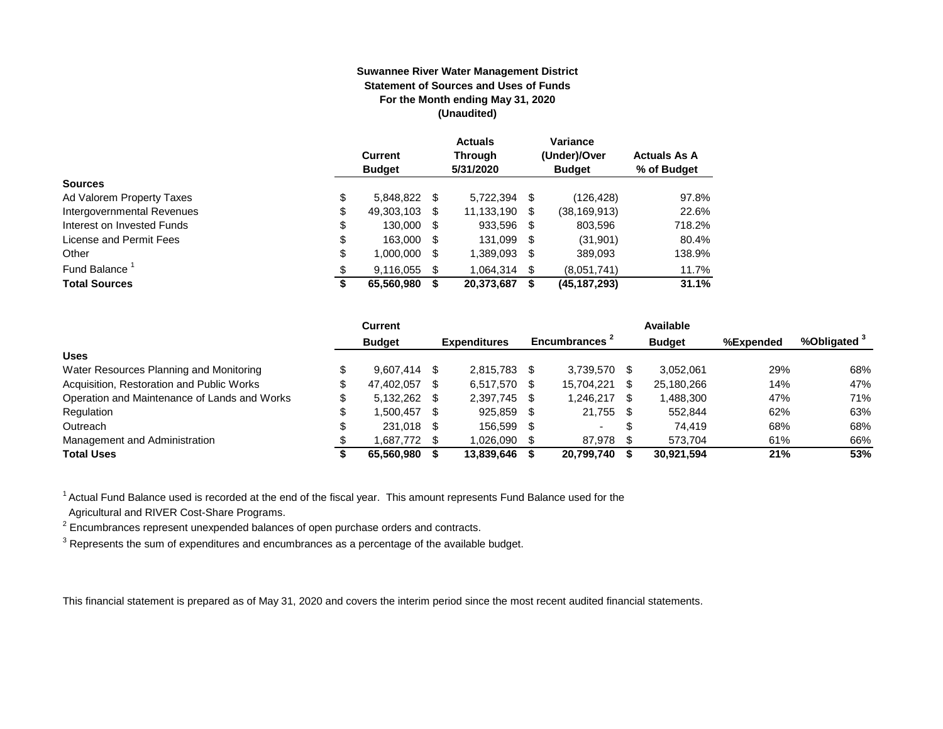#### **Suwannee River Water Management District Statement of Sources and Uses of Funds For the Month ending May 31, 2020 (Unaudited)**

|                                  | <b>Current</b><br><b>Budget</b> |      | <b>Actuals</b><br><b>Through</b><br>5/31/2020 |      | Variance<br>(Under)/Over<br><b>Budget</b> | <b>Actuals As A</b><br>% of Budget |
|----------------------------------|---------------------------------|------|-----------------------------------------------|------|-------------------------------------------|------------------------------------|
| <b>Sources</b>                   |                                 |      |                                               |      |                                           |                                    |
| \$<br>Ad Valorem Property Taxes  | 5,848,822 \$                    |      | 5.722.394                                     | S    | (126, 428)                                | 97.8%                              |
| \$<br>Intergovernmental Revenues | 49,303,103                      | -SS  | 11.133.190                                    | \$   | (38, 169, 913)                            | 22.6%                              |
| \$<br>Interest on Invested Funds | 130.000                         | - \$ | 933,596                                       | - \$ | 803,596                                   | 718.2%                             |
| \$<br>License and Permit Fees    | 163,000                         | -S   | 131,099                                       | - \$ | (31,901)                                  | 80.4%                              |
| \$<br>Other                      | 1,000,000                       | S    | 1,389,093                                     | S    | 389,093                                   | 138.9%                             |
| Fund Balance                     | 9.116.055                       | \$.  | 1.064.314                                     | \$   | (8,051,741)                               | 11.7%                              |
| <b>Total Sources</b><br>S        | 65,560,980                      |      | 20,373,687                                    | S    | (45,187,293)                              | 31.1%                              |

|                                              | Current        |      |                     |                |    | Available     |           |                         |
|----------------------------------------------|----------------|------|---------------------|----------------|----|---------------|-----------|-------------------------|
|                                              | <b>Budget</b>  |      | <b>Expenditures</b> | Encumbrances - |    | <b>Budget</b> | %Expended | %Obligated <sup>3</sup> |
| <b>Uses</b>                                  |                |      |                     |                |    |               |           |                         |
| Water Resources Planning and Monitoring      | $9.607.414$ \$ |      | 2.815.783           | 3.739.570      |    | 3.052.061     | 29%       | 68%                     |
| Acquisition, Restoration and Public Works    | 47,402,057     | - \$ | 6,517,570           | 15,704,221     |    | 25,180,266    | 14%       | 47%                     |
| Operation and Maintenance of Lands and Works | 5,132,262 \$   |      | 2.397.745           | 1.246.217      |    | 1,488,300     | 47%       | 71%                     |
| Regulation                                   | 1.500.457      | - \$ | 925.859             | 21.755         | -S | 552.844       | 62%       | 63%                     |
| Outreach                                     | 231,018 \$     |      | 156.599             |                | S  | 74.419        | 68%       | 68%                     |
| Management and Administration                | 1,687,772 \$   |      | 1,026,090           | 87,978         |    | 573.704       | 61%       | 66%                     |
| <b>Total Uses</b>                            | 65.560.980     |      | 13,839,646          | 20,799,740     |    | 30,921,594    | 21%       | 53%                     |

<sup>1</sup> Actual Fund Balance used is recorded at the end of the fiscal year. This amount represents Fund Balance used for the Agricultural and RIVER Cost-Share Programs.

 $2$  Encumbrances represent unexpended balances of open purchase orders and contracts.

 $^3$  Represents the sum of expenditures and encumbrances as a percentage of the available budget.

This financial statement is prepared as of May 31, 2020 and covers the interim period since the most recent audited financial statements.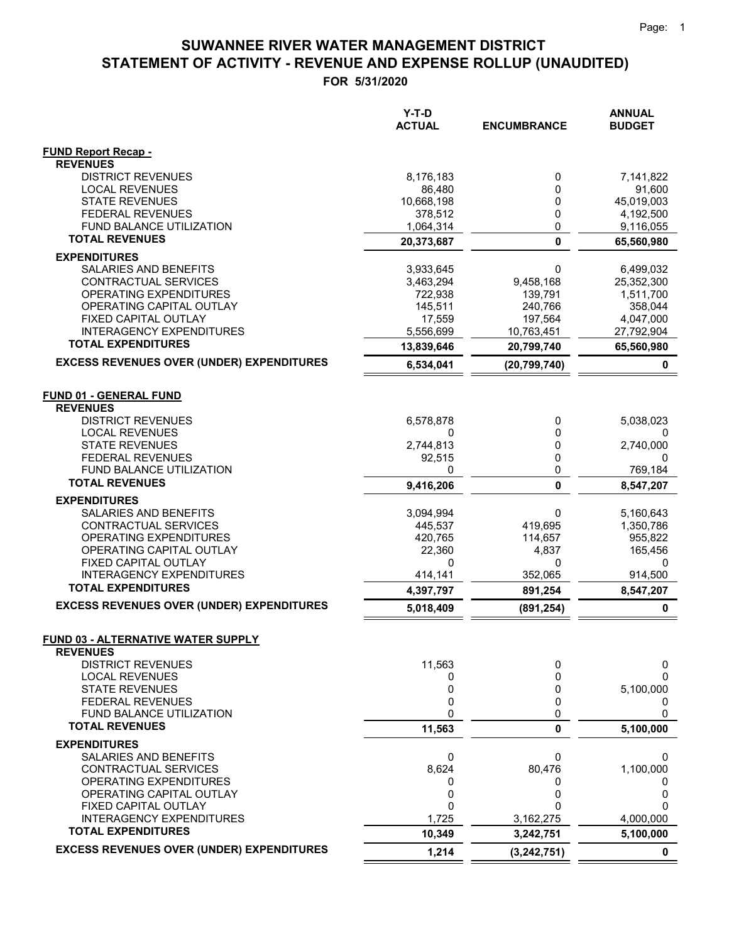|                                                              | $Y-T-D$<br><b>ACTUAL</b> | <b>ENCUMBRANCE</b> | <b>ANNUAL</b><br><b>BUDGET</b> |
|--------------------------------------------------------------|--------------------------|--------------------|--------------------------------|
|                                                              |                          |                    |                                |
| <b>FUND Report Recap -</b>                                   |                          |                    |                                |
| <b>REVENUES</b>                                              |                          |                    |                                |
| <b>DISTRICT REVENUES</b>                                     | 8,176,183                | 0                  | 7,141,822                      |
| <b>LOCAL REVENUES</b><br><b>STATE REVENUES</b>               | 86,480<br>10,668,198     | 0<br>0             | 91,600<br>45,019,003           |
| <b>FEDERAL REVENUES</b>                                      | 378,512                  | 0                  | 4,192,500                      |
| FUND BALANCE UTILIZATION                                     | 1,064,314                | 0                  | 9,116,055                      |
| <b>TOTAL REVENUES</b>                                        | 20,373,687               | 0                  | 65,560,980                     |
| <b>EXPENDITURES</b>                                          |                          |                    |                                |
| SALARIES AND BENEFITS                                        | 3,933,645                | 0                  | 6,499,032                      |
| CONTRACTUAL SERVICES                                         | 3,463,294                | 9,458,168          | 25,352,300                     |
| OPERATING EXPENDITURES                                       | 722,938                  | 139,791            | 1,511,700                      |
| OPERATING CAPITAL OUTLAY                                     | 145,511                  | 240,766            | 358,044                        |
| FIXED CAPITAL OUTLAY                                         | 17,559                   | 197,564            | 4,047,000                      |
| <b>INTERAGENCY EXPENDITURES</b><br><b>TOTAL EXPENDITURES</b> | 5,556,699                | 10,763,451         | 27,792,904                     |
|                                                              | 13,839,646               | 20,799,740         | 65,560,980                     |
| <b>EXCESS REVENUES OVER (UNDER) EXPENDITURES</b>             | 6,534,041                | (20, 799, 740)     | $\mathbf 0$                    |
|                                                              |                          |                    |                                |
| <b>FUND 01 - GENERAL FUND</b><br><b>REVENUES</b>             |                          |                    |                                |
| <b>DISTRICT REVENUES</b>                                     | 6,578,878                | 0                  | 5,038,023                      |
| <b>LOCAL REVENUES</b>                                        | 0                        | 0                  | 0                              |
| <b>STATE REVENUES</b>                                        | 2,744,813                | 0                  | 2,740,000                      |
| <b>FEDERAL REVENUES</b>                                      | 92,515                   | 0                  | 0                              |
| FUND BALANCE UTILIZATION                                     | 0                        | 0                  | 769,184                        |
| <b>TOTAL REVENUES</b>                                        | 9,416,206                | 0                  | 8,547,207                      |
| <b>EXPENDITURES</b>                                          |                          |                    |                                |
| SALARIES AND BENEFITS                                        | 3,094,994                | 0                  | 5,160,643                      |
| <b>CONTRACTUAL SERVICES</b>                                  | 445,537                  | 419,695            | 1,350,786                      |
| <b>OPERATING EXPENDITURES</b>                                | 420,765                  | 114,657            | 955,822                        |
| OPERATING CAPITAL OUTLAY<br>FIXED CAPITAL OUTLAY             | 22,360<br>0              | 4,837<br>0         | 165,456<br>0                   |
| <b>INTERAGENCY EXPENDITURES</b>                              | 414,141                  | 352,065            | 914,500                        |
| <b>TOTAL EXPENDITURES</b>                                    | 4,397,797                | 891,254            | 8,547,207                      |
| <b>EXCESS REVENUES OVER (UNDER) EXPENDITURES</b>             | 5,018,409                | (891, 254)         | $\mathbf 0$                    |
|                                                              |                          |                    |                                |
| <b>FUND 03 - ALTERNATIVE WATER SUPPLY</b>                    |                          |                    |                                |
| <b>REVENUES</b>                                              |                          |                    |                                |
| <b>DISTRICT REVENUES</b>                                     | 11,563                   | 0                  | 0                              |
| <b>LOCAL REVENUES</b>                                        | 0                        | 0                  | O                              |
| <b>STATE REVENUES</b><br>FEDERAL REVENUES                    | 0<br>0                   | 0<br>0             | 5,100,000<br>0                 |
| FUND BALANCE UTILIZATION                                     | 0                        | 0                  | 0                              |
| <b>TOTAL REVENUES</b>                                        | 11,563                   | 0                  | 5,100,000                      |
| <b>EXPENDITURES</b>                                          |                          |                    |                                |
| SALARIES AND BENEFITS                                        | 0                        | 0                  | 0                              |
| CONTRACTUAL SERVICES                                         | 8,624                    | 80,476             | 1,100,000                      |
| OPERATING EXPENDITURES                                       | 0                        | 0                  | 0                              |
| OPERATING CAPITAL OUTLAY                                     | 0                        | 0                  | 0                              |
| FIXED CAPITAL OUTLAY                                         | 0                        | U                  |                                |
| <b>INTERAGENCY EXPENDITURES</b><br><b>TOTAL EXPENDITURES</b> | 1,725                    | 3,162,275          | 4,000,000                      |
| <b>EXCESS REVENUES OVER (UNDER) EXPENDITURES</b>             | 10,349                   | 3,242,751          | 5,100,000                      |
|                                                              | 1,214                    | (3, 242, 751)      | 0                              |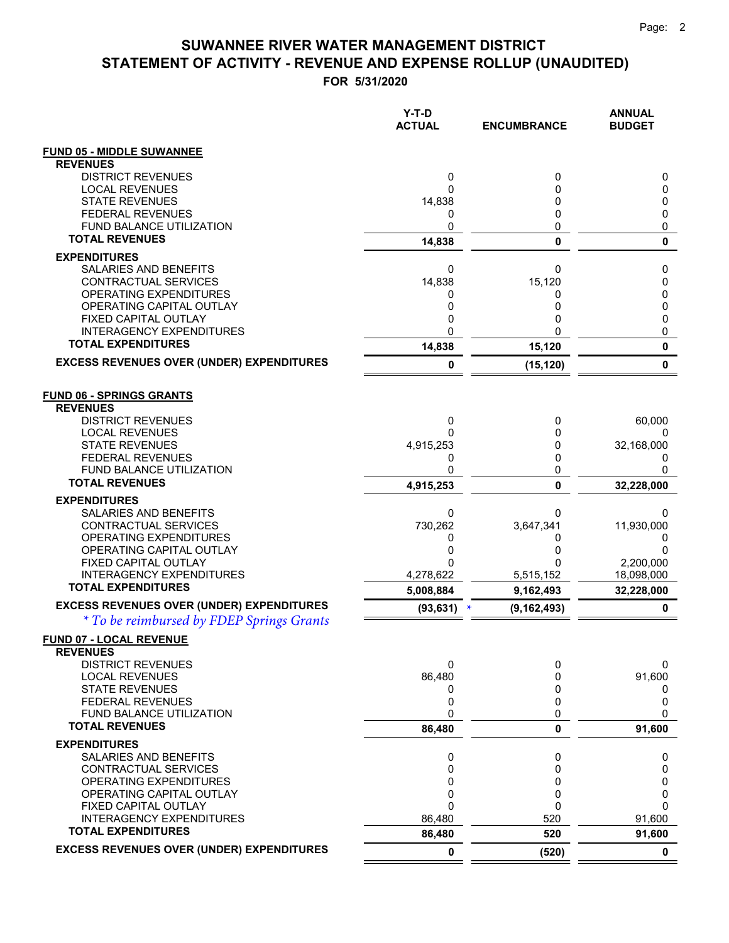|                                                                                               | Y-T-D<br><b>ACTUAL</b> | <b>ENCUMBRANCE</b>      | <b>ANNUAL</b><br><b>BUDGET</b> |
|-----------------------------------------------------------------------------------------------|------------------------|-------------------------|--------------------------------|
| <b>FUND 05 - MIDDLE SUWANNEE</b>                                                              |                        |                         |                                |
| <b>REVENUES</b>                                                                               |                        |                         |                                |
| <b>DISTRICT REVENUES</b>                                                                      | 0                      | 0                       | 0                              |
| <b>LOCAL REVENUES</b><br><b>STATE REVENUES</b>                                                | 0<br>14,838            | 0<br>0                  | 0<br>0                         |
| <b>FEDERAL REVENUES</b>                                                                       | 0                      | 0                       | 0                              |
| <b>FUND BALANCE UTILIZATION</b>                                                               | 0                      | 0                       | 0                              |
| <b>TOTAL REVENUES</b>                                                                         | 14,838                 | $\mathbf{0}$            | 0                              |
| <b>EXPENDITURES</b>                                                                           |                        |                         |                                |
| <b>SALARIES AND BENEFITS</b>                                                                  | 0                      | 0                       | 0                              |
| CONTRACTUAL SERVICES                                                                          | 14,838                 | 15,120                  | 0                              |
| OPERATING EXPENDITURES<br>OPERATING CAPITAL OUTLAY                                            | 0<br>0                 | 0<br>0                  | 0<br>0                         |
| FIXED CAPITAL OUTLAY                                                                          | 0                      | 0                       | 0                              |
| <b>INTERAGENCY EXPENDITURES</b>                                                               | 0                      | 0                       | 0                              |
| <b>TOTAL EXPENDITURES</b>                                                                     | 14,838                 | 15,120                  | 0                              |
| <b>EXCESS REVENUES OVER (UNDER) EXPENDITURES</b>                                              | 0                      | (15, 120)               | 0                              |
| <b>FUND 06 - SPRINGS GRANTS</b>                                                               |                        |                         |                                |
| <b>REVENUES</b>                                                                               |                        |                         |                                |
| <b>DISTRICT REVENUES</b><br><b>LOCAL REVENUES</b>                                             | 0<br>0                 | 0<br>0                  | 60,000<br>0                    |
| <b>STATE REVENUES</b>                                                                         | 4,915,253              | 0                       | 32,168,000                     |
| <b>FEDERAL REVENUES</b>                                                                       | 0                      | 0                       | 0                              |
| FUND BALANCE UTILIZATION                                                                      | 0                      | 0                       | 0                              |
| <b>TOTAL REVENUES</b>                                                                         | 4,915,253              | 0                       | 32,228,000                     |
| <b>EXPENDITURES</b>                                                                           |                        |                         |                                |
| SALARIES AND BENEFITS<br>CONTRACTUAL SERVICES                                                 | 0<br>730,262           | 0<br>3,647,341          | 0<br>11,930,000                |
| OPERATING EXPENDITURES                                                                        | 0                      | 0                       | 0                              |
| OPERATING CAPITAL OUTLAY                                                                      | 0                      | 0                       | 0                              |
| FIXED CAPITAL OUTLAY                                                                          | 0                      | 0                       | 2,200,000                      |
| <b>INTERAGENCY EXPENDITURES</b><br><b>TOTAL EXPENDITURES</b>                                  | 4,278,622              | 5,515,152               | 18,098,000                     |
|                                                                                               | 5,008,884              | 9,162,493               | 32,228,000                     |
| <b>EXCESS REVENUES OVER (UNDER) EXPENDITURES</b><br>* To be reimbursed by FDEP Springs Grants | (93, 631)              | (9, 162, 493)<br>$\ast$ | 0                              |
| FUND 07 - LOCAL REVENUE<br><b>REVENUES</b>                                                    |                        |                         |                                |
| <b>DISTRICT REVENUES</b>                                                                      | 0                      | 0                       | 0                              |
| <b>LOCAL REVENUES</b>                                                                         | 86,480                 | 0                       | 91,600                         |
| <b>STATE REVENUES</b>                                                                         | 0                      | 0                       | 0                              |
| <b>FEDERAL REVENUES</b><br>FUND BALANCE UTILIZATION                                           | 0<br>0                 | 0<br>0                  | 0<br>0                         |
| <b>TOTAL REVENUES</b>                                                                         | 86,480                 | 0                       | 91,600                         |
| <b>EXPENDITURES</b>                                                                           |                        |                         |                                |
| SALARIES AND BENEFITS                                                                         | 0                      | 0                       | 0                              |
| <b>CONTRACTUAL SERVICES</b>                                                                   | 0                      | 0                       | 0                              |
| <b>OPERATING EXPENDITURES</b>                                                                 | 0                      | 0                       | 0                              |
| OPERATING CAPITAL OUTLAY<br>FIXED CAPITAL OUTLAY                                              | 0<br>0                 | 0<br>0                  | 0<br>0                         |
| <b>INTERAGENCY EXPENDITURES</b>                                                               | 86,480                 | 520                     | 91,600                         |
| <b>TOTAL EXPENDITURES</b>                                                                     | 86,480                 | 520                     | 91,600                         |
| <b>EXCESS REVENUES OVER (UNDER) EXPENDITURES</b>                                              | $\mathbf 0$            | (520)                   | $\mathbf 0$                    |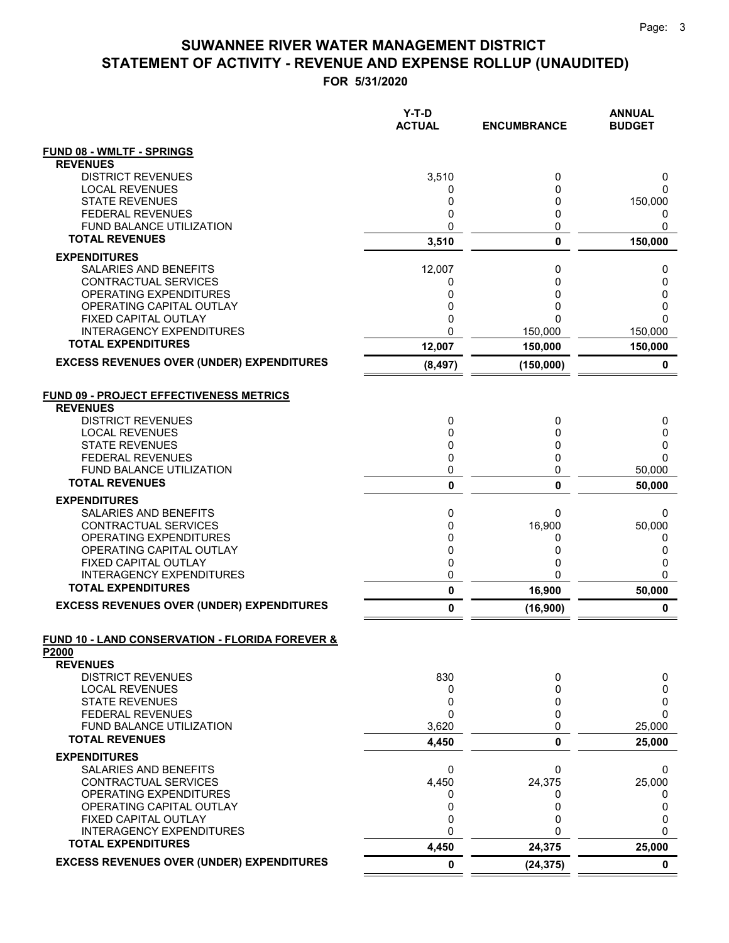|                                                                               | $Y-T-D$<br><b>ACTUAL</b> | <b>ENCUMBRANCE</b> | <b>ANNUAL</b><br><b>BUDGET</b> |
|-------------------------------------------------------------------------------|--------------------------|--------------------|--------------------------------|
| <b>FUND 08 - WMLTF - SPRINGS</b>                                              |                          |                    |                                |
| <b>REVENUES</b>                                                               |                          |                    |                                |
| <b>DISTRICT REVENUES</b>                                                      | 3,510                    | 0                  | 0                              |
| <b>LOCAL REVENUES</b><br><b>STATE REVENUES</b>                                | 0<br>0                   | 0<br>0             | 0<br>150,000                   |
| <b>FEDERAL REVENUES</b>                                                       | 0                        | 0                  | 0                              |
| <b>FUND BALANCE UTILIZATION</b>                                               | 0                        | 0                  | 0                              |
| <b>TOTAL REVENUES</b>                                                         | 3,510                    | 0                  | 150,000                        |
| <b>EXPENDITURES</b>                                                           |                          |                    |                                |
| SALARIES AND BENEFITS                                                         | 12,007                   | 0                  | 0                              |
| CONTRACTUAL SERVICES                                                          | 0                        | 0                  | 0                              |
| OPERATING EXPENDITURES                                                        | 0<br>0                   | 0<br>0             | 0                              |
| OPERATING CAPITAL OUTLAY<br>FIXED CAPITAL OUTLAY                              | 0                        | 0                  | 0<br>$\Omega$                  |
| <b>INTERAGENCY EXPENDITURES</b>                                               | 0                        | 150,000            | 150,000                        |
| <b>TOTAL EXPENDITURES</b>                                                     | 12,007                   | 150,000            | 150,000                        |
| <b>EXCESS REVENUES OVER (UNDER) EXPENDITURES</b>                              | (8, 497)                 | (150,000)          | 0                              |
| <b>FUND 09 - PROJECT EFFECTIVENESS METRICS</b><br><b>REVENUES</b>             |                          |                    |                                |
| <b>DISTRICT REVENUES</b>                                                      | 0                        | 0                  | 0                              |
| <b>LOCAL REVENUES</b>                                                         | 0                        | 0                  | 0                              |
| <b>STATE REVENUES</b>                                                         | 0                        | 0                  | 0                              |
| <b>FEDERAL REVENUES</b>                                                       | 0                        | 0                  | 0                              |
| <b>FUND BALANCE UTILIZATION</b><br><b>TOTAL REVENUES</b>                      | 0                        | 0                  | 50,000                         |
|                                                                               | 0                        | 0                  | 50,000                         |
| <b>EXPENDITURES</b><br>SALARIES AND BENEFITS                                  | 0                        | 0                  | 0                              |
| CONTRACTUAL SERVICES                                                          | 0                        | 16,900             | 50,000                         |
| OPERATING EXPENDITURES                                                        | 0                        | 0                  | 0                              |
| OPERATING CAPITAL OUTLAY                                                      | 0                        | 0                  | 0                              |
| FIXED CAPITAL OUTLAY                                                          | 0                        | 0                  | 0                              |
| <b>INTERAGENCY EXPENDITURES</b>                                               | 0                        | 0                  | 0                              |
| <b>TOTAL EXPENDITURES</b><br><b>EXCESS REVENUES OVER (UNDER) EXPENDITURES</b> | $\pmb{0}$                | 16,900             | 50,000                         |
|                                                                               | $\pmb{0}$                | (16, 900)          | $\pmb{0}$                      |
| FUND 10 - LAND CONSERVATION - FLORIDA FOREVER &<br>P2000                      |                          |                    |                                |
| <b>REVENUES</b>                                                               |                          |                    |                                |
| <b>DISTRICT REVENUES</b><br><b>LOCAL REVENUES</b>                             | 830<br>0                 | 0<br>0             | 0<br>0                         |
| <b>STATE REVENUES</b>                                                         | 0                        | 0                  | 0                              |
| <b>FEDERAL REVENUES</b>                                                       | $\mathbf{0}$             | 0                  | 0                              |
| FUND BALANCE UTILIZATION                                                      | 3,620                    | 0                  | 25,000                         |
| <b>TOTAL REVENUES</b>                                                         | 4,450                    | 0                  | 25,000                         |
| <b>EXPENDITURES</b>                                                           |                          |                    |                                |
| SALARIES AND BENEFITS                                                         | 0                        | 0                  | 0                              |
| CONTRACTUAL SERVICES                                                          | 4,450                    | 24,375             | 25,000                         |
| OPERATING EXPENDITURES<br>OPERATING CAPITAL OUTLAY                            | 0<br>0                   | 0<br>0             | 0<br>0                         |
| FIXED CAPITAL OUTLAY                                                          | 0                        | 0                  | 0                              |
| <b>INTERAGENCY EXPENDITURES</b>                                               | $\mathbf 0$              | 0                  | 0                              |
| <b>TOTAL EXPENDITURES</b>                                                     | 4,450                    | 24,375             | 25,000                         |
| <b>EXCESS REVENUES OVER (UNDER) EXPENDITURES</b>                              | $\mathbf 0$              | (24, 375)          | $\mathbf 0$                    |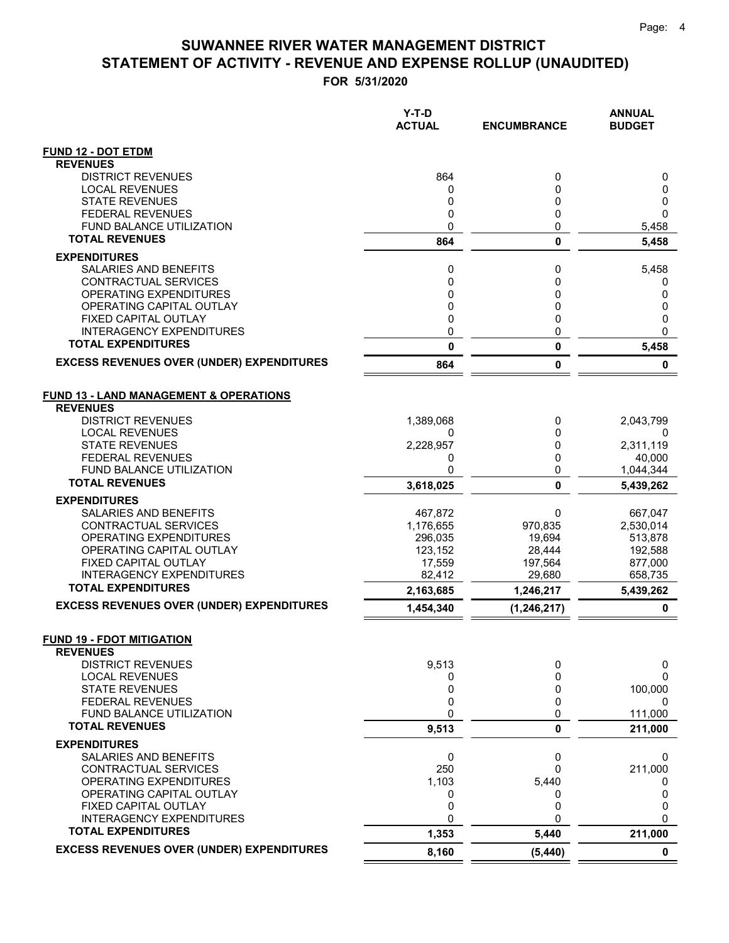**FOR 5/31/2020**

|                                                              | Y-T-D<br><b>ACTUAL</b> | <b>ENCUMBRANCE</b> | <b>ANNUAL</b><br><b>BUDGET</b> |
|--------------------------------------------------------------|------------------------|--------------------|--------------------------------|
| <b>FUND 12 - DOT ETDM</b>                                    |                        |                    |                                |
| <b>REVENUES</b>                                              |                        |                    |                                |
| <b>DISTRICT REVENUES</b>                                     | 864                    | 0                  | 0                              |
| <b>LOCAL REVENUES</b>                                        | 0                      | 0                  | 0                              |
| <b>STATE REVENUES</b><br><b>FEDERAL REVENUES</b>             | 0<br>0                 | 0<br>0             | 0<br>$\mathbf{0}$              |
| <b>FUND BALANCE UTILIZATION</b>                              | 0                      | 0                  | 5,458                          |
| <b>TOTAL REVENUES</b>                                        | 864                    | $\mathbf 0$        | 5,458                          |
| <b>EXPENDITURES</b>                                          |                        |                    |                                |
| <b>SALARIES AND BENEFITS</b>                                 | 0                      | 0                  | 5,458                          |
| CONTRACTUAL SERVICES                                         | 0                      | 0                  | 0                              |
| <b>OPERATING EXPENDITURES</b>                                | 0                      | 0                  | 0                              |
| OPERATING CAPITAL OUTLAY                                     | 0                      | 0                  | 0                              |
| FIXED CAPITAL OUTLAY                                         | 0                      | 0                  | 0                              |
| <b>INTERAGENCY EXPENDITURES</b>                              | 0                      | 0                  | $\mathbf{0}$                   |
| <b>TOTAL EXPENDITURES</b>                                    | 0                      | 0                  | 5,458                          |
| <b>EXCESS REVENUES OVER (UNDER) EXPENDITURES</b>             | 864                    | 0                  | 0                              |
| <b>FUND 13 - LAND MANAGEMENT &amp; OPERATIONS</b>            |                        |                    |                                |
| <b>REVENUES</b>                                              |                        |                    |                                |
| <b>DISTRICT REVENUES</b>                                     | 1,389,068              | 0                  | 2,043,799                      |
| <b>LOCAL REVENUES</b><br><b>STATE REVENUES</b>               | 0                      | 0                  | 0                              |
| <b>FEDERAL REVENUES</b>                                      | 2,228,957<br>0         | 0<br>0             | 2,311,119<br>40,000            |
| <b>FUND BALANCE UTILIZATION</b>                              | 0                      | 0                  | 1,044,344                      |
| <b>TOTAL REVENUES</b>                                        | 3,618,025              | 0                  | 5,439,262                      |
| <b>EXPENDITURES</b>                                          |                        |                    |                                |
| <b>SALARIES AND BENEFITS</b>                                 | 467,872                | 0                  | 667,047                        |
| CONTRACTUAL SERVICES                                         | 1,176,655              | 970,835            | 2,530,014                      |
| OPERATING EXPENDITURES<br>OPERATING CAPITAL OUTLAY           | 296,035                | 19,694             | 513,878                        |
| FIXED CAPITAL OUTLAY                                         | 123,152<br>17,559      | 28,444<br>197,564  | 192,588<br>877,000             |
| <b>INTERAGENCY EXPENDITURES</b>                              | 82.412                 | 29,680             | 658,735                        |
| <b>TOTAL EXPENDITURES</b>                                    | 2,163,685              | 1,246,217          | 5,439,262                      |
| <b>EXCESS REVENUES OVER (UNDER) EXPENDITURES</b>             | 1,454,340              | (1, 246, 217)      | 0                              |
| <b>FUND 19 - FDOT MITIGATION</b>                             |                        |                    |                                |
| <b>REVENUES</b>                                              |                        |                    |                                |
| <b>DISTRICT REVENUES</b>                                     | 9,513                  | 0                  | 0                              |
| <b>LOCAL REVENUES</b>                                        | 0                      | 0                  | 0                              |
| <b>STATE REVENUES</b>                                        | 0                      | 0                  | 100,000                        |
| <b>FEDERAL REVENUES</b><br>FUND BALANCE UTILIZATION          | 0<br>0                 | 0<br>0             | 0<br>111,000                   |
| <b>TOTAL REVENUES</b>                                        | 9,513                  | 0                  | 211,000                        |
| <b>EXPENDITURES</b>                                          |                        |                    |                                |
| SALARIES AND BENEFITS                                        | 0                      | 0                  | 0                              |
| CONTRACTUAL SERVICES                                         | 250                    | 0                  | 211,000                        |
| OPERATING EXPENDITURES                                       | 1,103                  | 5,440              | O                              |
| OPERATING CAPITAL OUTLAY                                     | 0                      | 0                  | 0                              |
| FIXED CAPITAL OUTLAY                                         | 0                      | 0                  | 0                              |
| <b>INTERAGENCY EXPENDITURES</b><br><b>TOTAL EXPENDITURES</b> | 0                      | $\Omega$           | 0                              |
|                                                              | 1,353                  | 5,440              | 211,000                        |
| <b>EXCESS REVENUES OVER (UNDER) EXPENDITURES</b>             | 8,160                  | (5, 440)           | $\mathbf 0$                    |

 $=$  $\equiv$   $=$   $=$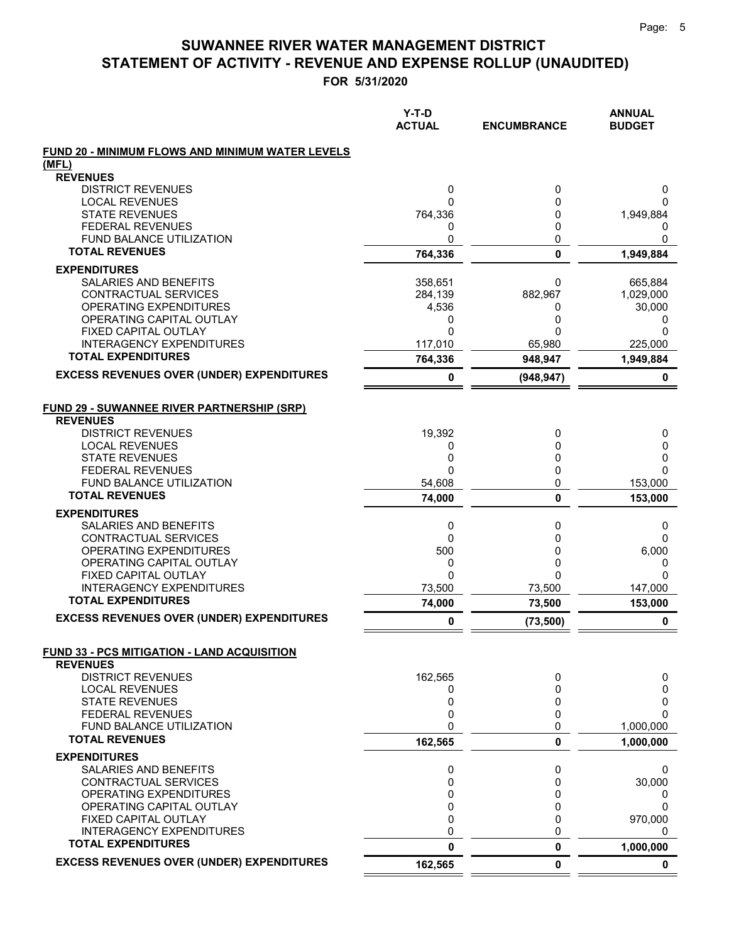|                                                                | $Y-T-D$<br><b>ACTUAL</b> | <b>ENCUMBRANCE</b> | <b>ANNUAL</b><br><b>BUDGET</b> |
|----------------------------------------------------------------|--------------------------|--------------------|--------------------------------|
| FUND 20 - MINIMUM FLOWS AND MINIMUM WATER LEVELS               |                          |                    |                                |
| (MFL)                                                          |                          |                    |                                |
| <b>REVENUES</b>                                                |                          |                    |                                |
| <b>DISTRICT REVENUES</b><br><b>LOCAL REVENUES</b>              | 0<br>0                   | 0<br>0             | 0<br>0                         |
| <b>STATE REVENUES</b>                                          | 764,336                  | 0                  | 1,949,884                      |
| <b>FEDERAL REVENUES</b>                                        | 0                        | 0                  | 0                              |
| FUND BALANCE UTILIZATION                                       | 0                        | 0                  | 0                              |
| <b>TOTAL REVENUES</b>                                          | 764,336                  | $\mathbf 0$        | 1,949,884                      |
| <b>EXPENDITURES</b>                                            |                          |                    |                                |
| SALARIES AND BENEFITS                                          | 358,651                  | 0                  | 665,884                        |
| CONTRACTUAL SERVICES                                           | 284,139                  | 882,967            | 1,029,000                      |
| OPERATING EXPENDITURES                                         | 4,536                    | 0                  | 30,000                         |
| OPERATING CAPITAL OUTLAY                                       | 0                        | 0                  | 0                              |
| <b>FIXED CAPITAL OUTLAY</b><br><b>INTERAGENCY EXPENDITURES</b> | 0<br>117,010             | 0<br>65,980        | 0<br>225,000                   |
| <b>TOTAL EXPENDITURES</b>                                      | 764,336                  | 948,947            | 1,949,884                      |
| <b>EXCESS REVENUES OVER (UNDER) EXPENDITURES</b>               |                          |                    |                                |
|                                                                | 0                        | (948, 947)         | 0                              |
| <b>FUND 29 - SUWANNEE RIVER PARTNERSHIP (SRP)</b>              |                          |                    |                                |
| <b>REVENUES</b>                                                |                          |                    |                                |
| <b>DISTRICT REVENUES</b><br><b>LOCAL REVENUES</b>              | 19,392<br>0              | 0<br>0             | 0<br>0                         |
| <b>STATE REVENUES</b>                                          | 0                        | 0                  | 0                              |
| <b>FEDERAL REVENUES</b>                                        | O                        | 0                  | $\Omega$                       |
| <b>FUND BALANCE UTILIZATION</b>                                | 54,608                   | 0                  | 153,000                        |
| <b>TOTAL REVENUES</b>                                          | 74,000                   | 0                  | 153,000                        |
| <b>EXPENDITURES</b>                                            |                          |                    |                                |
| SALARIES AND BENEFITS                                          | 0                        | 0                  | 0                              |
| CONTRACTUAL SERVICES                                           | 0                        | 0                  | $\mathbf 0$                    |
| OPERATING EXPENDITURES                                         | 500                      | 0                  | 6,000                          |
| OPERATING CAPITAL OUTLAY<br>FIXED CAPITAL OUTLAY               | 0<br>0                   | 0<br>0             | 0<br>$\Omega$                  |
| <b>INTERAGENCY EXPENDITURES</b>                                | 73,500                   | 73.500             | 147,000                        |
| <b>TOTAL EXPENDITURES</b>                                      | 74,000                   | 73,500             | 153,000                        |
| <b>EXCESS REVENUES OVER (UNDER) EXPENDITURES</b>               | 0                        | (73, 500)          | 0                              |
| FUND 33 - PCS MITIGATION - LAND ACQUISITION                    |                          |                    |                                |
| <b>REVENUES</b>                                                |                          |                    |                                |
| <b>DISTRICT REVENUES</b>                                       | 162,565                  | 0                  | 0                              |
| <b>LOCAL REVENUES</b>                                          | 0                        | 0                  | 0                              |
| <b>STATE REVENUES</b>                                          | 0                        | 0                  | 0                              |
| <b>FEDERAL REVENUES</b>                                        | 0                        | 0                  | 0                              |
| FUND BALANCE UTILIZATION<br><b>TOTAL REVENUES</b>              | 0<br>162,565             | 0<br>0             | 1,000,000<br>1,000,000         |
|                                                                |                          |                    |                                |
| <b>EXPENDITURES</b><br>SALARIES AND BENEFITS                   | 0                        | 0                  | 0                              |
| <b>CONTRACTUAL SERVICES</b>                                    | 0                        | 0                  | 30,000                         |
| OPERATING EXPENDITURES                                         | 0                        | 0                  | 0                              |
| OPERATING CAPITAL OUTLAY                                       | 0                        | 0                  | $\Omega$                       |
| FIXED CAPITAL OUTLAY                                           | 0                        | 0                  | 970,000                        |
| <b>INTERAGENCY EXPENDITURES</b>                                | 0                        | 0                  | 0                              |
| <b>TOTAL EXPENDITURES</b>                                      | 0                        | 0                  | 1,000,000                      |
| <b>EXCESS REVENUES OVER (UNDER) EXPENDITURES</b>               | 162,565                  | $\mathbf 0$        | 0                              |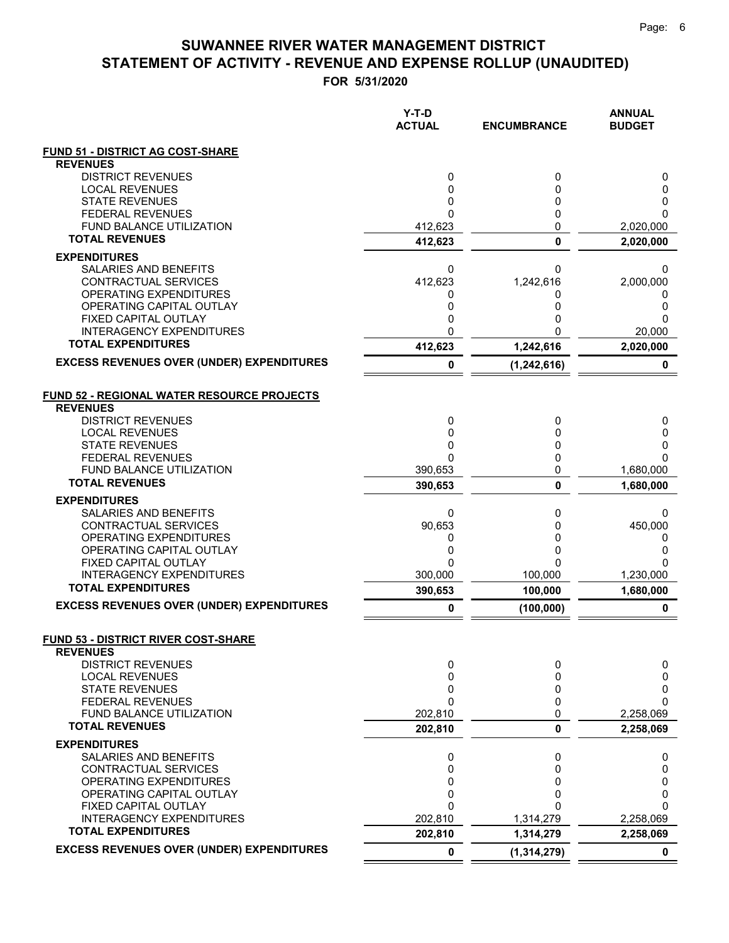**FOR 5/31/2020**

|                                                               | $Y-T-D$<br><b>ACTUAL</b> | <b>ENCUMBRANCE</b> | <b>ANNUAL</b><br><b>BUDGET</b> |
|---------------------------------------------------------------|--------------------------|--------------------|--------------------------------|
| <b>FUND 51 - DISTRICT AG COST-SHARE</b>                       |                          |                    |                                |
| <b>REVENUES</b>                                               |                          |                    |                                |
| <b>DISTRICT REVENUES</b>                                      | 0                        | 0                  | 0                              |
| <b>LOCAL REVENUES</b><br><b>STATE REVENUES</b>                | 0<br>0                   | 0<br>0             | 0<br>0                         |
| <b>FEDERAL REVENUES</b>                                       | 0                        | 0                  | 0                              |
| <b>FUND BALANCE UTILIZATION</b>                               | 412,623                  | 0                  | 2,020,000                      |
| <b>TOTAL REVENUES</b>                                         | 412,623                  | $\mathbf{0}$       | 2,020,000                      |
| <b>EXPENDITURES</b>                                           |                          |                    |                                |
| SALARIES AND BENEFITS                                         | 0                        | 0                  | 0                              |
| CONTRACTUAL SERVICES                                          | 412,623                  | 1,242,616          | 2,000,000                      |
| <b>OPERATING EXPENDITURES</b>                                 | 0                        | 0                  | 0                              |
| OPERATING CAPITAL OUTLAY<br>FIXED CAPITAL OUTLAY              | 0<br>0                   | 0                  | 0<br>0                         |
| <b>INTERAGENCY EXPENDITURES</b>                               | 0                        | ი                  | 20,000                         |
| <b>TOTAL EXPENDITURES</b>                                     | 412,623                  | 1,242,616          | 2,020,000                      |
| <b>EXCESS REVENUES OVER (UNDER) EXPENDITURES</b>              | 0                        | (1, 242, 616)      | 0                              |
|                                                               |                          |                    |                                |
| <b>FUND 52 - REGIONAL WATER RESOURCE PROJECTS</b>             |                          |                    |                                |
| <b>REVENUES</b>                                               |                          |                    |                                |
| <b>DISTRICT REVENUES</b>                                      | 0                        | 0                  | 0                              |
| <b>LOCAL REVENUES</b><br><b>STATE REVENUES</b>                | 0<br>0                   | 0<br>0             | 0<br>0                         |
| <b>FEDERAL REVENUES</b>                                       | $\Omega$                 | 0                  | 0                              |
| <b>FUND BALANCE UTILIZATION</b>                               | 390,653                  | 0                  | 1,680,000                      |
| <b>TOTAL REVENUES</b>                                         | 390,653                  | 0                  | 1,680,000                      |
| <b>EXPENDITURES</b>                                           |                          |                    |                                |
| SALARIES AND BENEFITS                                         | 0                        | 0                  | 0                              |
| CONTRACTUAL SERVICES                                          | 90,653                   | 0                  | 450,000                        |
| OPERATING EXPENDITURES<br>OPERATING CAPITAL OUTLAY            | 0<br>0                   | 0<br>0             | 0<br>0                         |
| FIXED CAPITAL OUTLAY                                          | 0                        | 0                  | 0                              |
| <b>INTERAGENCY EXPENDITURES</b>                               | 300,000                  | 100,000            | 1,230,000                      |
| <b>TOTAL EXPENDITURES</b>                                     | 390,653                  | 100,000            | 1,680,000                      |
| <b>EXCESS REVENUES OVER (UNDER) EXPENDITURES</b>              | 0                        | (100, 000)         | 0                              |
|                                                               |                          |                    |                                |
| <b>FUND 53 - DISTRICT RIVER COST-SHARE</b><br><b>REVENUES</b> |                          |                    |                                |
| <b>DISTRICT REVENUES</b>                                      | 0                        | 0                  | 0                              |
| <b>LOCAL REVENUES</b>                                         | 0                        | 0                  | 0                              |
| <b>STATE REVENUES</b>                                         | 0                        | 0                  | 0                              |
| <b>FEDERAL REVENUES</b>                                       | 0                        | 0                  | 0                              |
| FUND BALANCE UTILIZATION                                      | 202,810                  | 0                  | 2,258,069                      |
| <b>TOTAL REVENUES</b>                                         | 202,810                  | $\bf{0}$           | 2,258,069                      |
| <b>EXPENDITURES</b><br>SALARIES AND BENEFITS                  | 0                        | 0                  | 0                              |
| CONTRACTUAL SERVICES                                          | 0                        | 0                  | 0                              |
| OPERATING EXPENDITURES                                        | 0                        | 0                  | 0                              |
| OPERATING CAPITAL OUTLAY                                      | 0                        | 0                  | 0                              |
| FIXED CAPITAL OUTLAY                                          | 0                        | ი                  | 0                              |
| <b>INTERAGENCY EXPENDITURES</b>                               | 202,810                  | 1,314,279          | 2,258,069                      |
| <b>TOTAL EXPENDITURES</b>                                     | 202,810                  | 1,314,279          | 2,258,069                      |
| <b>EXCESS REVENUES OVER (UNDER) EXPENDITURES</b>              | 0                        | (1, 314, 279)      | $\mathbf 0$                    |

 $=$  $\equiv$   $=$   $=$